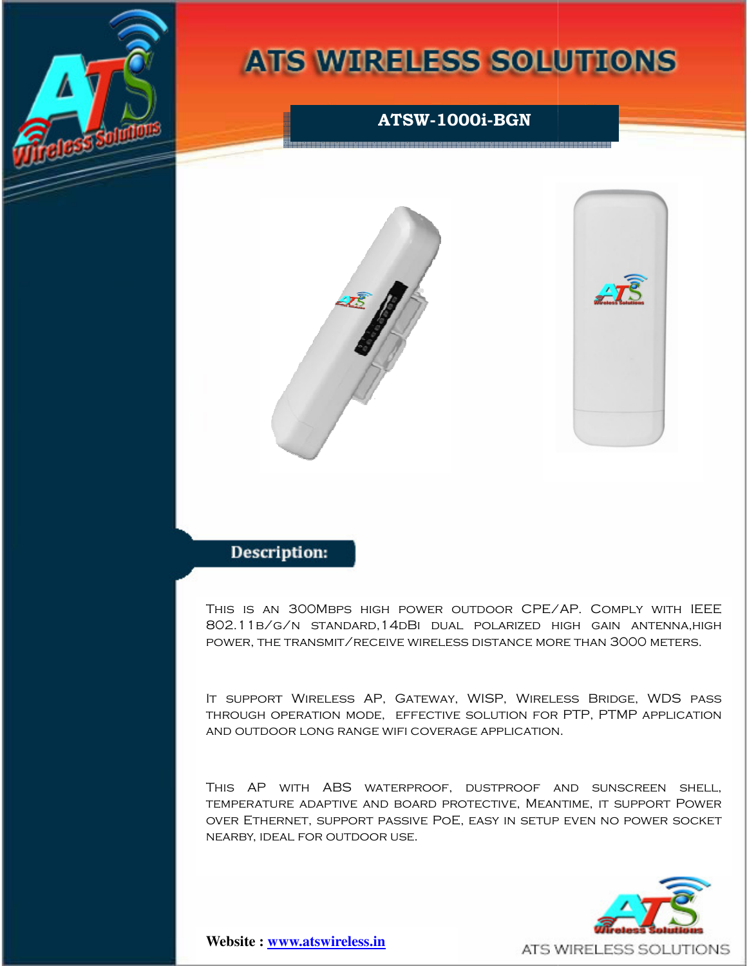

# **ATS WIRELESS SOLUTIONS**



This is an 300Mbps high power outdoor CPE/AP. Comply with IEEE<br>802.11b/g/n standard,14dBi dual polarized high gain antenna,high 802.11b/g/n Standard, 14dBI dual polarized high gain antenna, high power, the transmit/receive wireless distance more than 3000 meters.

It support Wireless AP, Gateway, WISP, Wireless Bridge, WDS pass through operation mode, effective solution for PTP, PTMP application and outdoor long range wifi coverage application.

This AP with ABS waterproof, dustproof and sunscreen shell, temperature adaptive and board protective, Meantime, it support Power over Ethernet, support passive PoE, easy in setup even no power socket nearby, ideal for outdoor use.



**Website : ww www.atswireless.in**